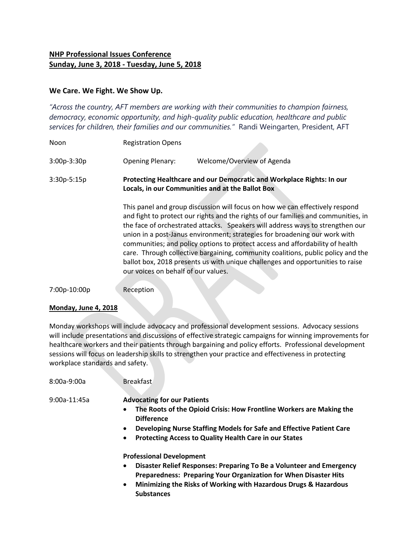## **NHP Professional Issues Conference Sunday, June 3, 2018 - Tuesday, June 5, 2018**

## **We Care. We Fight. We Show Up.**

*"Across the country, AFT members are working with their communities to champion fairness, democracy, economic opportunity, and high-quality public education, healthcare and public services for children, their families and our communities."* Randi Weingarten, President, AFT

| Noon         | <b>Registration Opens</b>                                                                                                 |                                                                                                                                                                                                                                                                                                                                                                                                                                                                                                                                                                                           |
|--------------|---------------------------------------------------------------------------------------------------------------------------|-------------------------------------------------------------------------------------------------------------------------------------------------------------------------------------------------------------------------------------------------------------------------------------------------------------------------------------------------------------------------------------------------------------------------------------------------------------------------------------------------------------------------------------------------------------------------------------------|
| 3:00p-3:30p  | <b>Opening Plenary:</b>                                                                                                   | Welcome/Overview of Agenda                                                                                                                                                                                                                                                                                                                                                                                                                                                                                                                                                                |
| 3:30p-5:15p  | Protecting Healthcare and our Democratic and Workplace Rights: In our<br>Locals, in our Communities and at the Ballot Box |                                                                                                                                                                                                                                                                                                                                                                                                                                                                                                                                                                                           |
|              | our voices on behalf of our values.                                                                                       | This panel and group discussion will focus on how we can effectively respond<br>and fight to protect our rights and the rights of our families and communities, in<br>the face of orchestrated attacks. Speakers will address ways to strengthen our<br>union in a post-Janus environment; strategies for broadening our work with<br>communities; and policy options to protect access and affordability of health<br>care. Through collective bargaining, community coalitions, public policy and the<br>ballot box, 2018 presents us with unique challenges and opportunities to raise |
| 7:00p-10:00p | Reception                                                                                                                 |                                                                                                                                                                                                                                                                                                                                                                                                                                                                                                                                                                                           |

## **Monday, June 4, 2018**

Monday workshops will include advocacy and professional development sessions. Advocacy sessions will include presentations and discussions of effective strategic campaigns for winning improvements for healthcare workers and their patients through bargaining and policy efforts. Professional development sessions will focus on leadership skills to strengthen your practice and effectiveness in protecting workplace standards and safety.

| $8:00a-9:00a$  | <b>Breakfast</b>                                                                                                                                                                                                                                                                                   |
|----------------|----------------------------------------------------------------------------------------------------------------------------------------------------------------------------------------------------------------------------------------------------------------------------------------------------|
| $9:00a-11:45a$ | <b>Advocating for our Patients</b><br>The Roots of the Opioid Crisis: How Frontline Workers are Making the<br><b>Difference</b><br>Developing Nurse Staffing Models for Safe and Effective Patient Care<br>$\bullet$<br><b>Protecting Access to Quality Health Care in our States</b><br>$\bullet$ |
|                | <b>Professional Development</b><br>Disaster Relief Responses: Preparing To Be a Volunteer and Emergency<br>$\bullet$<br>Preparedness: Preparing Your Organization for When Disaster Hits                                                                                                           |

 **Minimizing the Risks of Working with Hazardous Drugs & Hazardous Substances**